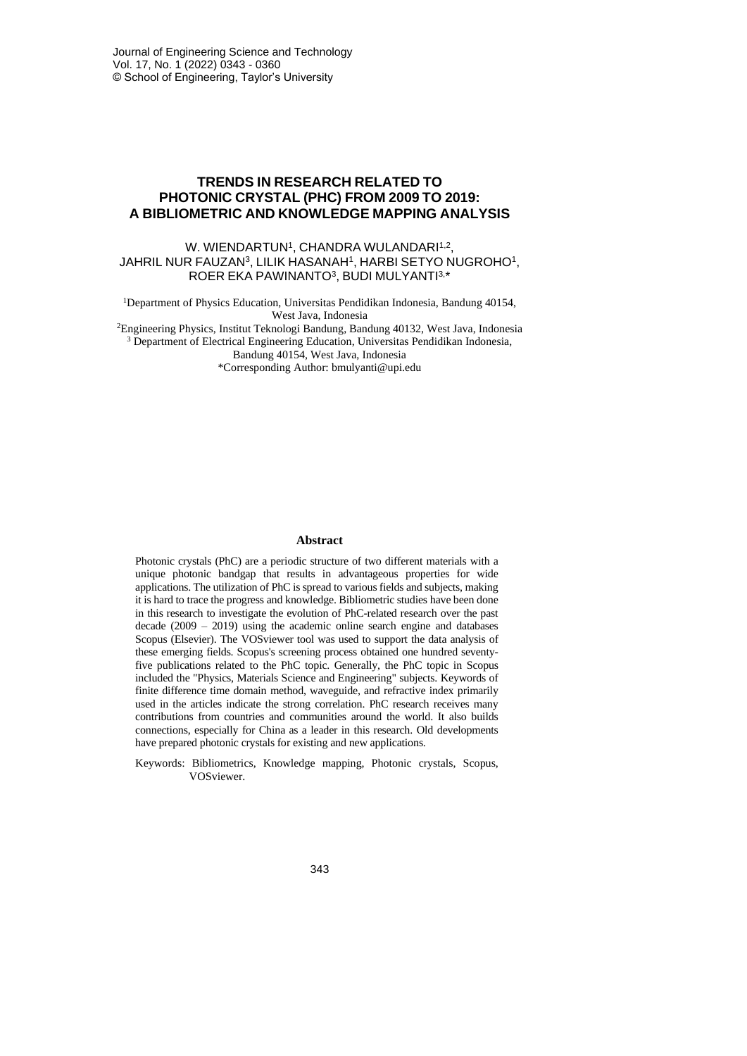## **TRENDS IN RESEARCH RELATED TO PHOTONIC CRYSTAL (PHC) FROM 2009 TO 2019: A BIBLIOMETRIC AND KNOWLEDGE MAPPING ANALYSIS**

W. WIENDARTUN1, CHANDRA WULANDARI1,2, JAHRIL NUR FAUZAN<sup>3</sup>, LILIK HASANAH<sup>1</sup>, HARBI SETYO NUGROHO<sup>1</sup>, ROER EKA PAWINANTO<sup>3</sup>, BUDI MULYANTI<sup>3,\*</sup>

<sup>1</sup>Department of Physics Education, Universitas Pendidikan Indonesia, Bandung 40154, West Java, Indonesia <sup>2</sup>Engineering Physics, Institut Teknologi Bandung, Bandung 40132, West Java, Indonesia

<sup>3</sup> Department of Electrical Engineering Education, Universitas Pendidikan Indonesia,

Bandung 40154, West Java, Indonesia

\*Corresponding Author: bmulyanti@upi.edu

#### **Abstract**

Photonic crystals (PhC) are a periodic structure of two different materials with a unique photonic bandgap that results in advantageous properties for wide applications. The utilization of PhC is spread to various fields and subjects, making it is hard to trace the progress and knowledge. Bibliometric studies have been done in this research to investigate the evolution of PhC-related research over the past decade (2009 – 2019) using the academic online search engine and databases Scopus (Elsevier). The VOSviewer tool was used to support the data analysis of these emerging fields. Scopus's screening process obtained one hundred seventyfive publications related to the PhC topic. Generally, the PhC topic in Scopus included the "Physics, Materials Science and Engineering" subjects. Keywords of finite difference time domain method, waveguide, and refractive index primarily used in the articles indicate the strong correlation. PhC research receives many contributions from countries and communities around the world. It also builds connections, especially for China as a leader in this research. Old developments have prepared photonic crystals for existing and new applications.

Keywords: Bibliometrics, Knowledge mapping, Photonic crystals, Scopus, VOSviewer.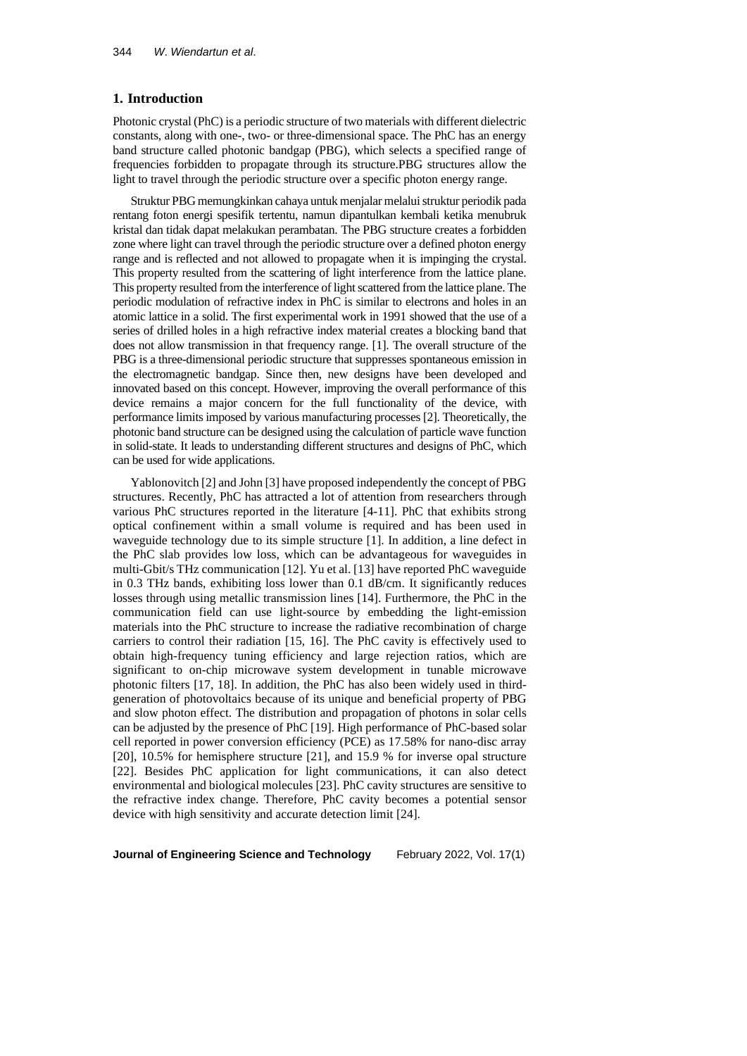## **1. Introduction**

Photonic crystal (PhC) is a periodic structure of two materials with different dielectric constants, along with one-, two- or three-dimensional space. The PhC has an energy band structure called photonic bandgap (PBG), which selects a specified range of frequencies forbidden to propagate through its structure.PBG structures allow the light to travel through the periodic structure over a specific photon energy range.

Struktur PBG memungkinkan cahaya untuk menjalar melaluistruktur periodik pada rentang foton energi spesifik tertentu, namun dipantulkan kembali ketika menubruk kristal dan tidak dapat melakukan perambatan. The PBG structure creates a forbidden zone where light can travel through the periodic structure over a defined photon energy range and is reflected and not allowed to propagate when it is impinging the crystal. This property resulted from the scattering of light interference from the lattice plane. This property resulted from the interference of light scattered from the lattice plane. The periodic modulation of refractive index in PhC is similar to electrons and holes in an atomic lattice in a solid. The first experimental work in 1991 showed that the use of a series of drilled holes in a high refractive index material creates a blocking band that does not allow transmission in that frequency range. [1]. The overall structure of the PBG is a three-dimensional periodic structure that suppresses spontaneous emission in the electromagnetic bandgap. Since then, new designs have been developed and innovated based on this concept. However, improving the overall performance of this device remains a major concern for the full functionality of the device, with performance limitsimposed by various manufacturing processes[2]. Theoretically, the photonic band structure can be designed using the calculation of particle wave function in solid-state. It leads to understanding different structures and designs of PhC, which can be used for wide applications.

Yablonovitch [2] and John [3] have proposed independently the concept of PBG structures. Recently, PhC has attracted a lot of attention from researchers through various PhC structures reported in the literature [4-11]. PhC that exhibits strong optical confinement within a small volume is required and has been used in waveguide technology due to its simple structure [1]. In addition, a line defect in the PhC slab provides low loss, which can be advantageous for waveguides in multi-Gbit/s THz communication [12]. Yu et al. [13] have reported PhC waveguide in 0.3 THz bands, exhibiting loss lower than 0.1 dB/cm. It significantly reduces losses through using metallic transmission lines [14]. Furthermore, the PhC in the communication field can use light-source by embedding the light-emission materials into the PhC structure to increase the radiative recombination of charge carriers to control their radiation [15, 16]. The PhC cavity is effectively used to obtain high-frequency tuning efficiency and large rejection ratios, which are significant to on-chip microwave system development in tunable microwave photonic filters [17, 18]. In addition, the PhC has also been widely used in thirdgeneration of photovoltaics because of its unique and beneficial property of PBG and slow photon effect. The distribution and propagation of photons in solar cells can be adjusted by the presence of PhC [19]. High performance of PhC-based solar cell reported in power conversion efficiency (PCE) as 17.58% for nano-disc array [20], 10.5% for hemisphere structure [21], and 15.9 % for inverse opal structure [22]. Besides PhC application for light communications, it can also detect environmental and biological molecules [23]. PhC cavity structures are sensitive to the refractive index change. Therefore, PhC cavity becomes a potential sensor device with high sensitivity and accurate detection limit [24].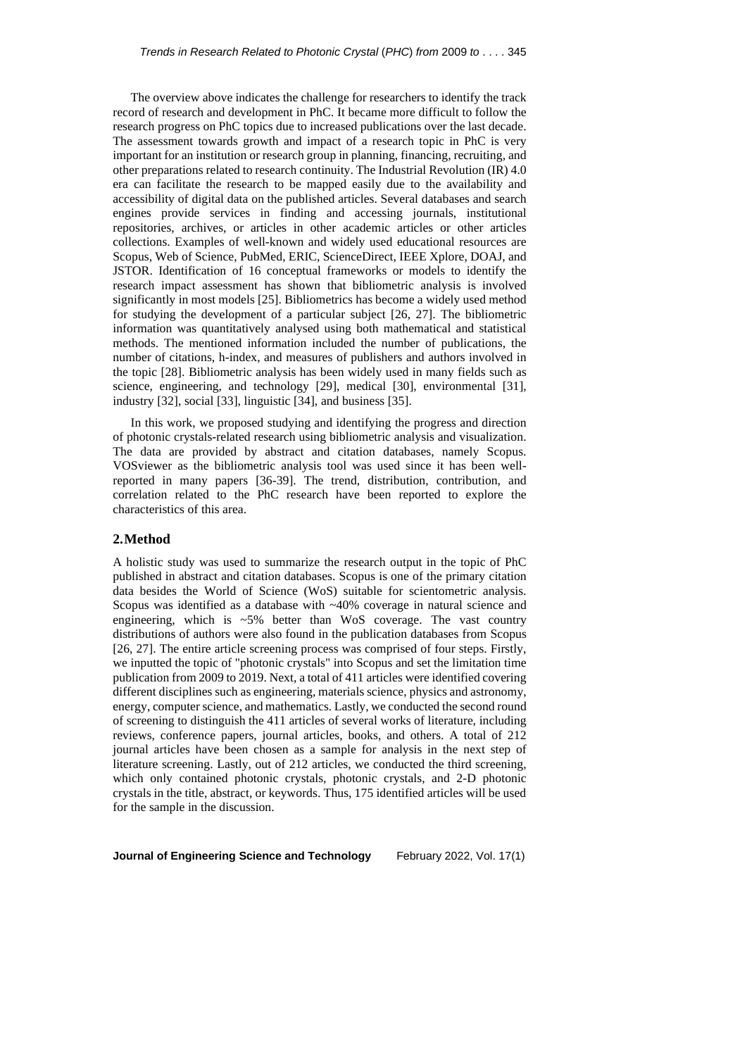The overview above indicates the challenge for researchers to identify the track record of research and development in PhC. It became more difficult to follow the research progress on PhC topics due to increased publications over the last decade. The assessment towards growth and impact of a research topic in PhC is very important for an institution or research group in planning, financing, recruiting, and other preparations related to research continuity. The Industrial Revolution (IR) 4.0 era can facilitate the research to be mapped easily due to the availability and accessibility of digital data on the published articles. Several databases and search engines provide services in finding and accessing journals, institutional repositories, archives, or articles in other academic articles or other articles collections. Examples of well-known and widely used educational resources are Scopus, Web of Science, PubMed, ERIC, ScienceDirect, IEEE Xplore, DOAJ, and JSTOR. Identification of 16 conceptual frameworks or models to identify the research impact assessment has shown that bibliometric analysis is involved significantly in most models [25]. Bibliometrics has become a widely used method for studying the development of a particular subject [26, 27]. The bibliometric information was quantitatively analysed using both mathematical and statistical methods. The mentioned information included the number of publications, the number of citations, h-index, and measures of publishers and authors involved in the topic [28]. Bibliometric analysis has been widely used in many fields such as science, engineering, and technology [29], medical [30], environmental [31], industry [32], social [33], linguistic [34], and business [35].

In this work, we proposed studying and identifying the progress and direction of photonic crystals-related research using bibliometric analysis and visualization. The data are provided by abstract and citation databases, namely Scopus. VOSviewer as the bibliometric analysis tool was used since it has been wellreported in many papers [36-39]. The trend, distribution, contribution, and correlation related to the PhC research have been reported to explore the characteristics of this area.

## **2.Method**

A holistic study was used to summarize the research output in the topic of PhC published in abstract and citation databases. Scopus is one of the primary citation data besides the World of Science (WoS) suitable for scientometric analysis. Scopus was identified as a database with ~40% coverage in natural science and engineering, which is ~5% better than WoS coverage. The vast country distributions of authors were also found in the publication databases from Scopus [26, 27]. The entire article screening process was comprised of four steps. Firstly, we inputted the topic of "photonic crystals" into Scopus and set the limitation time publication from 2009 to 2019. Next, a total of 411 articles were identified covering different disciplines such as engineering, materials science, physics and astronomy, energy, computer science, and mathematics. Lastly, we conducted the second round of screening to distinguish the 411 articles of several works of literature, including reviews, conference papers, journal articles, books, and others. A total of 212 journal articles have been chosen as a sample for analysis in the next step of literature screening. Lastly, out of 212 articles, we conducted the third screening, which only contained photonic crystals, photonic crystals, and 2-D photonic crystals in the title, abstract, or keywords. Thus, 175 identified articles will be used for the sample in the discussion.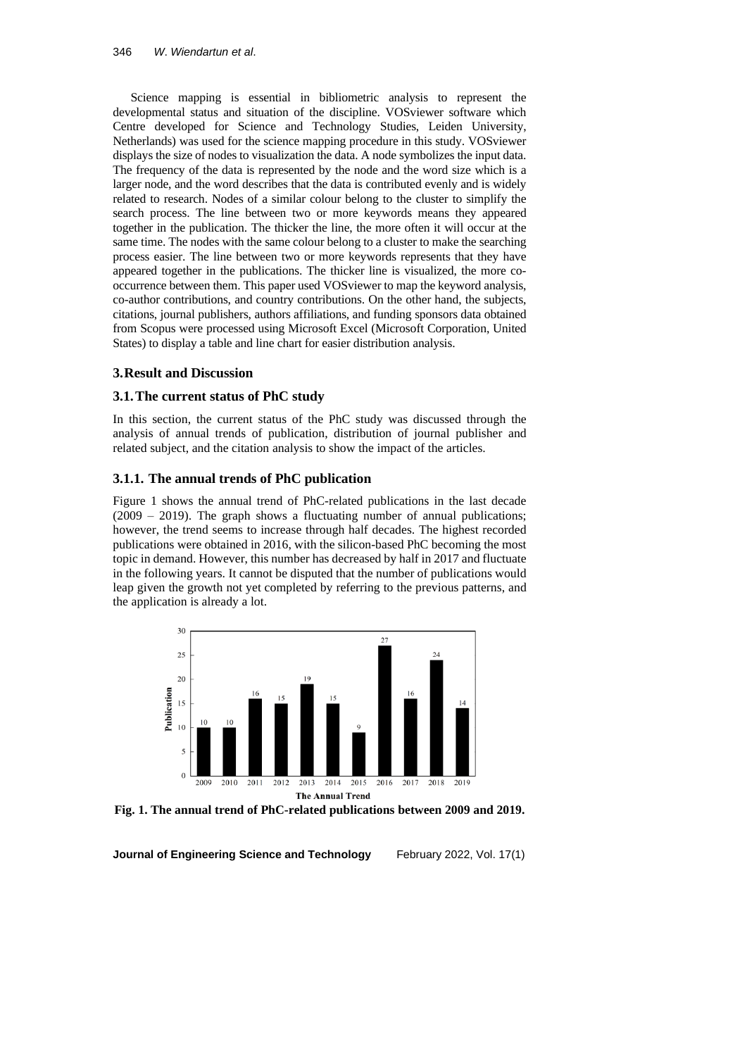Science mapping is essential in bibliometric analysis to represent the developmental status and situation of the discipline. VOSviewer software which Centre developed for Science and Technology Studies, Leiden University, Netherlands) was used for the science mapping procedure in this study. VOSviewer displays the size of nodes to visualization the data. A node symbolizes the input data. The frequency of the data is represented by the node and the word size which is a larger node, and the word describes that the data is contributed evenly and is widely related to research. Nodes of a similar colour belong to the cluster to simplify the search process. The line between two or more keywords means they appeared together in the publication. The thicker the line, the more often it will occur at the same time. The nodes with the same colour belong to a cluster to make the searching process easier. The line between two or more keywords represents that they have appeared together in the publications. The thicker line is visualized, the more cooccurrence between them. This paper used VOSviewer to map the keyword analysis, co-author contributions, and country contributions. On the other hand, the subjects, citations, journal publishers, authors affiliations, and funding sponsors data obtained from Scopus were processed using Microsoft Excel (Microsoft Corporation, United States) to display a table and line chart for easier distribution analysis.

## **3.Result and Discussion**

## **3.1.The current status of PhC study**

In this section, the current status of the PhC study was discussed through the analysis of annual trends of publication, distribution of journal publisher and related subject, and the citation analysis to show the impact of the articles.

## **3.1.1. The annual trends of PhC publication**

Figure 1 shows the annual trend of PhC-related publications in the last decade  $(2009 - 2019)$ . The graph shows a fluctuating number of annual publications; however, the trend seems to increase through half decades. The highest recorded publications were obtained in 2016, with the silicon-based PhC becoming the most topic in demand. However, this number has decreased by half in 2017 and fluctuate in the following years. It cannot be disputed that the number of publications would leap given the growth not yet completed by referring to the previous patterns, and the application is already a lot.



**Fig. 1. The annual trend of PhC-related publications between 2009 and 2019.**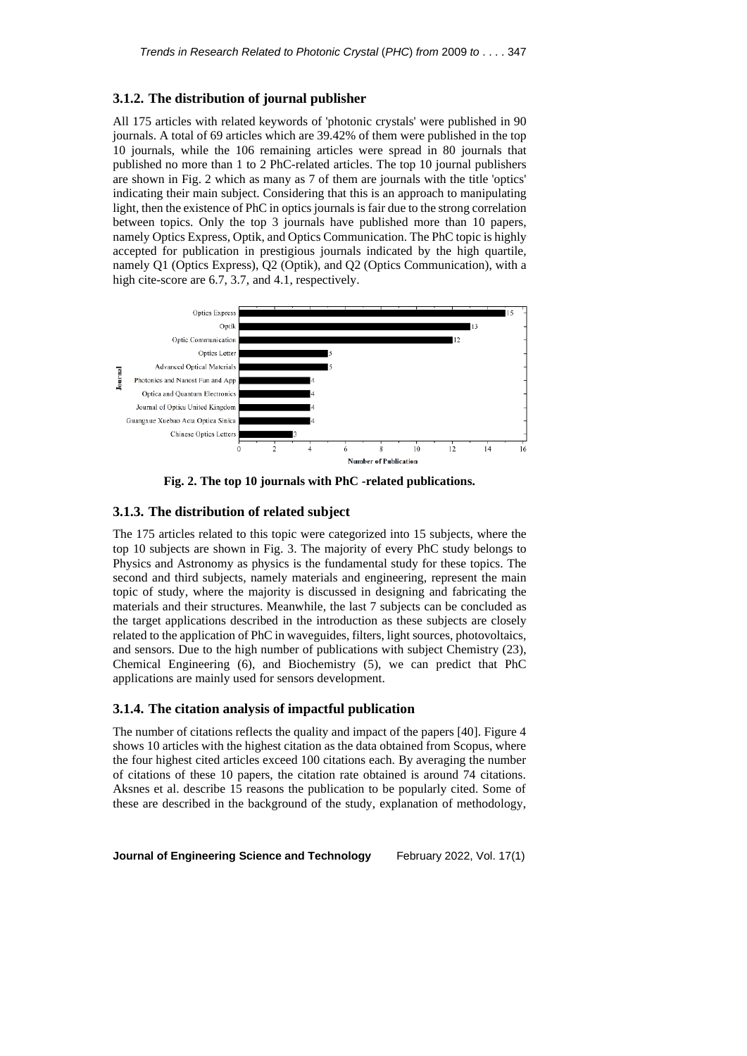### **3.1.2. The distribution of journal publisher**

All 175 articles with related keywords of 'photonic crystals' were published in 90 journals. A total of 69 articles which are 39.42% of them were published in the top 10 journals, while the 106 remaining articles were spread in 80 journals that published no more than 1 to 2 PhC-related articles. The top 10 journal publishers are shown in Fig. 2 which as many as 7 of them are journals with the title 'optics' indicating their main subject. Considering that this is an approach to manipulating light, then the existence of PhC in optics journals is fair due to the strong correlation between topics. Only the top 3 journals have published more than 10 papers, namely Optics Express, Optik, and Optics Communication. The PhC topic is highly accepted for publication in prestigious journals indicated by the high quartile, namely Q1 (Optics Express), Q2 (Optik), and Q2 (Optics Communication), with a high cite-score are 6.7, 3.7, and 4.1, respectively.



**Fig. 2. The top 10 journals with PhC -related publications.**

#### **3.1.3. The distribution of related subject**

The 175 articles related to this topic were categorized into 15 subjects, where the top 10 subjects are shown in Fig. 3. The majority of every PhC study belongs to Physics and Astronomy as physics is the fundamental study for these topics. The second and third subjects, namely materials and engineering, represent the main topic of study, where the majority is discussed in designing and fabricating the materials and their structures. Meanwhile, the last 7 subjects can be concluded as the target applications described in the introduction as these subjects are closely related to the application of PhC in waveguides, filters, light sources, photovoltaics, and sensors. Due to the high number of publications with subject Chemistry (23), Chemical Engineering (6), and Biochemistry (5), we can predict that PhC applications are mainly used for sensors development.

### **3.1.4. The citation analysis of impactful publication**

The number of citations reflects the quality and impact of the papers [40]. Figure 4 shows 10 articles with the highest citation as the data obtained from Scopus, where the four highest cited articles exceed 100 citations each. By averaging the number of citations of these 10 papers, the citation rate obtained is around 74 citations. Aksnes et al. describe 15 reasons the publication to be popularly cited. Some of these are described in the background of the study, explanation of methodology,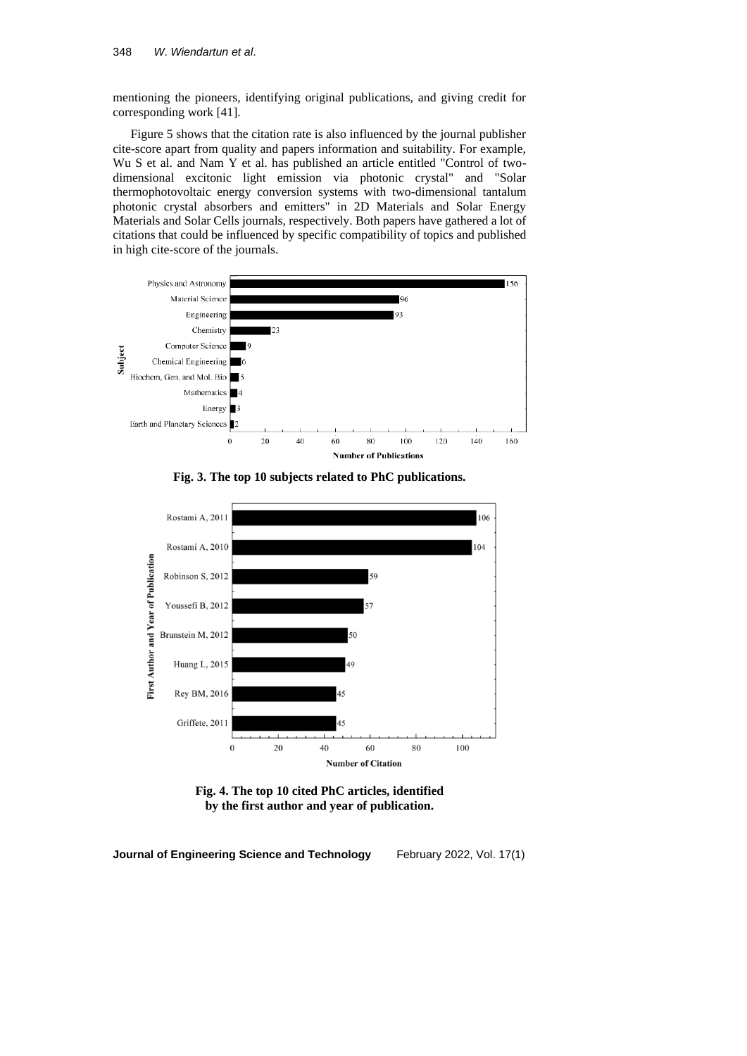mentioning the pioneers, identifying original publications, and giving credit for corresponding work [41].

Figure 5 shows that the citation rate is also influenced by the journal publisher cite-score apart from quality and papers information and suitability. For example, Wu S et al. and Nam Y et al. has published an article entitled "Control of twodimensional excitonic light emission via photonic crystal" and "Solar thermophotovoltaic energy conversion systems with two-dimensional tantalum photonic crystal absorbers and emitters" in 2D Materials and Solar Energy Materials and Solar Cells journals, respectively. Both papers have gathered a lot of citations that could be influenced by specific compatibility of topics and published in high cite-score of the journals.







**Fig. 4. The top 10 cited PhC articles, identified by the first author and year of publication.**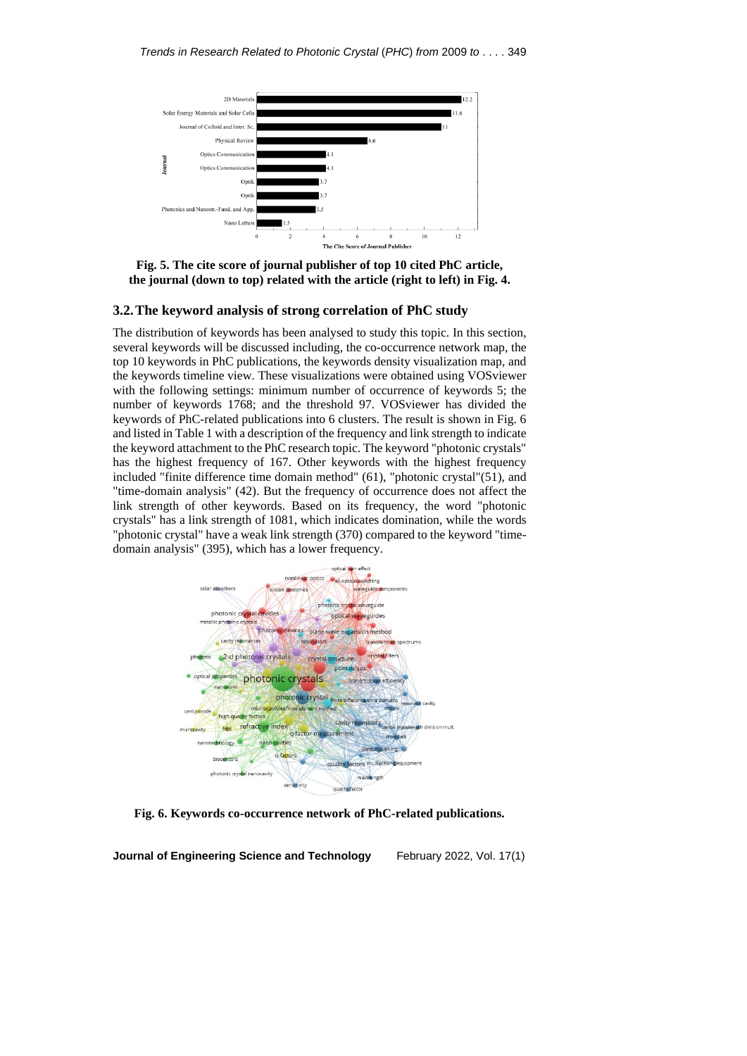

**Fig. 5. The cite score of journal publisher of top 10 cited PhC article, the journal (down to top) related with the article (right to left) in Fig. 4.**

#### **3.2.The keyword analysis of strong correlation of PhC study**

The distribution of keywords has been analysed to study this topic. In this section, several keywords will be discussed including, the co-occurrence network map, the top 10 keywords in PhC publications, the keywords density visualization map, and the keywords timeline view. These visualizations were obtained using VOSviewer with the following settings: minimum number of occurrence of keywords 5; the number of keywords 1768; and the threshold 97. VOSviewer has divided the keywords of PhC-related publications into 6 clusters. The result is shown in Fig. 6 and listed in Table 1 with a description of the frequency and link strength to indicate the keyword attachment to the PhC research topic. The keyword "photonic crystals" has the highest frequency of 167. Other keywords with the highest frequency included "finite difference time domain method" (61), "photonic crystal"(51), and "time-domain analysis" (42). But the frequency of occurrence does not affect the link strength of other keywords. Based on its frequency, the word "photonic crystals" has a link strength of 1081, which indicates domination, while the words "photonic crystal" have a weak link strength (370) compared to the keyword "timedomain analysis" (395), which has a lower frequency.



**Fig. 6. Keywords co-occurrence network of PhC-related publications.**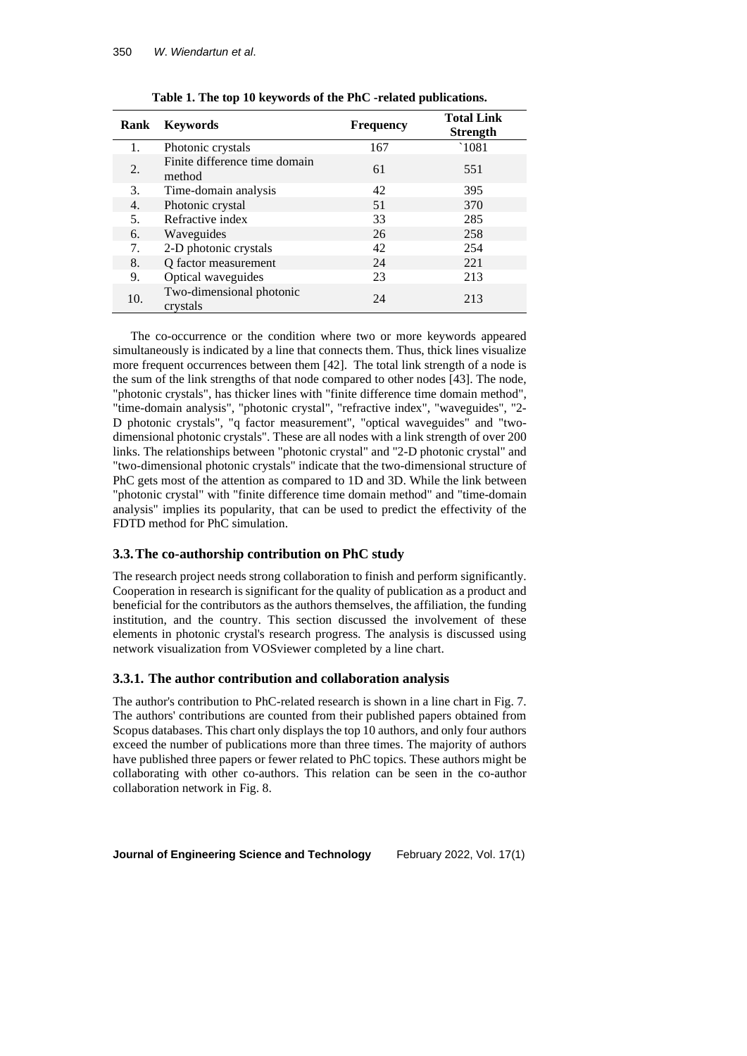| <b>Rank</b> | <b>Keywords</b>                         | <b>Frequency</b> | <b>Total Link</b><br><b>Strength</b> |
|-------------|-----------------------------------------|------------------|--------------------------------------|
| 1.          | Photonic crystals                       | 167              | `1081                                |
| 2.          | Finite difference time domain<br>method | 61               | 551                                  |
| 3.          | Time-domain analysis                    | 42               | 395                                  |
| 4.          | Photonic crystal                        | 51               | 370                                  |
| 5.          | Refractive index                        | 33               | 285                                  |
| 6.          | Waveguides                              | 26               | 258                                  |
| 7.          | 2-D photonic crystals                   | 42               | 254                                  |
| 8.          | Q factor measurement                    | 24               | 221                                  |
| 9.          | Optical waveguides                      | 23               | 213                                  |
| 10.         | Two-dimensional photonic<br>crystals    | 24               | 213                                  |

**Table 1. The top 10 keywords of the PhC -related publications.**

The co-occurrence or the condition where two or more keywords appeared simultaneously is indicated by a line that connects them. Thus, thick lines visualize more frequent occurrences between them [42]. The total link strength of a node is the sum of the link strengths of that node compared to other nodes [43]. The node, "photonic crystals", has thicker lines with "finite difference time domain method", "time-domain analysis", "photonic crystal", "refractive index", "waveguides", "2- D photonic crystals", "q factor measurement", "optical waveguides" and "twodimensional photonic crystals". These are all nodes with a link strength of over 200 links. The relationships between "photonic crystal" and "2-D photonic crystal" and "two-dimensional photonic crystals" indicate that the two-dimensional structure of PhC gets most of the attention as compared to 1D and 3D. While the link between "photonic crystal" with "finite difference time domain method" and "time-domain analysis" implies its popularity, that can be used to predict the effectivity of the FDTD method for PhC simulation.

### **3.3.The co-authorship contribution on PhC study**

The research project needs strong collaboration to finish and perform significantly. Cooperation in research is significant for the quality of publication as a product and beneficial for the contributors as the authors themselves, the affiliation, the funding institution, and the country. This section discussed the involvement of these elements in photonic crystal's research progress. The analysis is discussed using network visualization from VOSviewer completed by a line chart.

#### **3.3.1. The author contribution and collaboration analysis**

The author's contribution to PhC-related research is shown in a line chart in Fig. 7. The authors' contributions are counted from their published papers obtained from Scopus databases. This chart only displays the top 10 authors, and only four authors exceed the number of publications more than three times. The majority of authors have published three papers or fewer related to PhC topics. These authors might be collaborating with other co-authors. This relation can be seen in the co-author collaboration network in Fig. 8.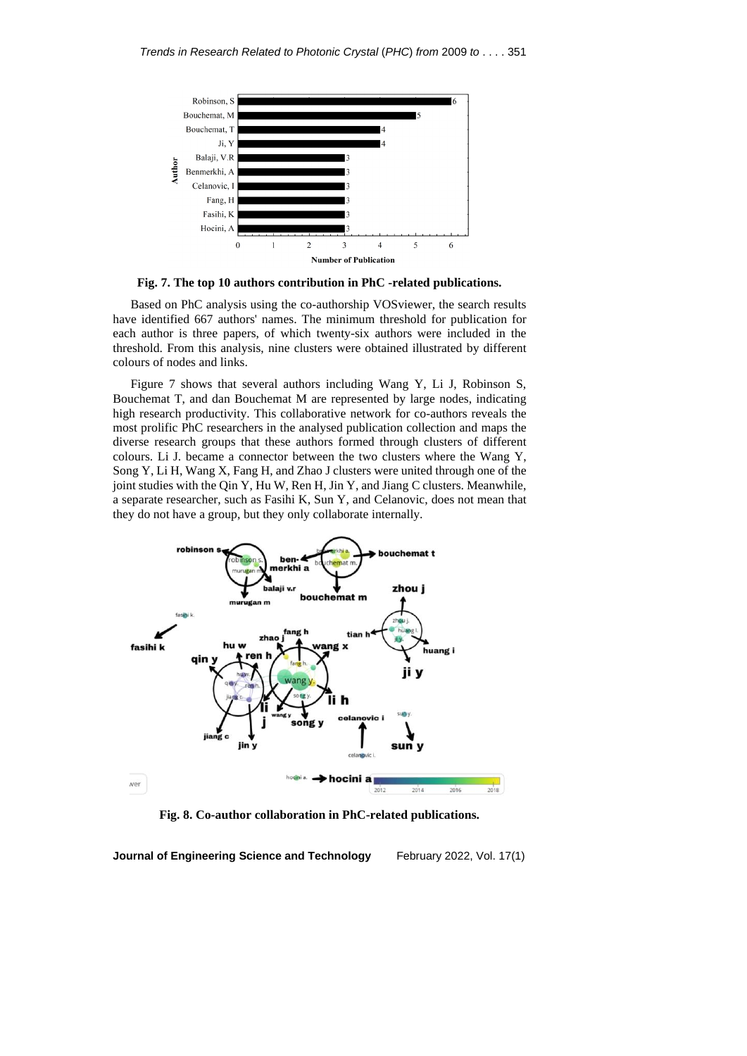

**Fig. 7. The top 10 authors contribution in PhC -related publications.**

Based on PhC analysis using the co-authorship VOSviewer, the search results have identified 667 authors' names. The minimum threshold for publication for each author is three papers, of which twenty-six authors were included in the threshold. From this analysis, nine clusters were obtained illustrated by different colours of nodes and links.

Figure 7 shows that several authors including Wang Y, Li J, Robinson S, Bouchemat T, and dan Bouchemat M are represented by large nodes, indicating high research productivity. This collaborative network for co-authors reveals the most prolific PhC researchers in the analysed publication collection and maps the diverse research groups that these authors formed through clusters of different colours. Li J. became a connector between the two clusters where the Wang Y, Song Y, Li H, Wang X, Fang H, and Zhao J clusters were united through one of the joint studies with the Qin Y, Hu W, Ren H, Jin Y, and Jiang C clusters. Meanwhile, a separate researcher, such as Fasihi K, Sun Y, and Celanovic, does not mean that they do not have a group, but they only collaborate internally.



**Fig. 8. Co-author collaboration in PhC-related publications.**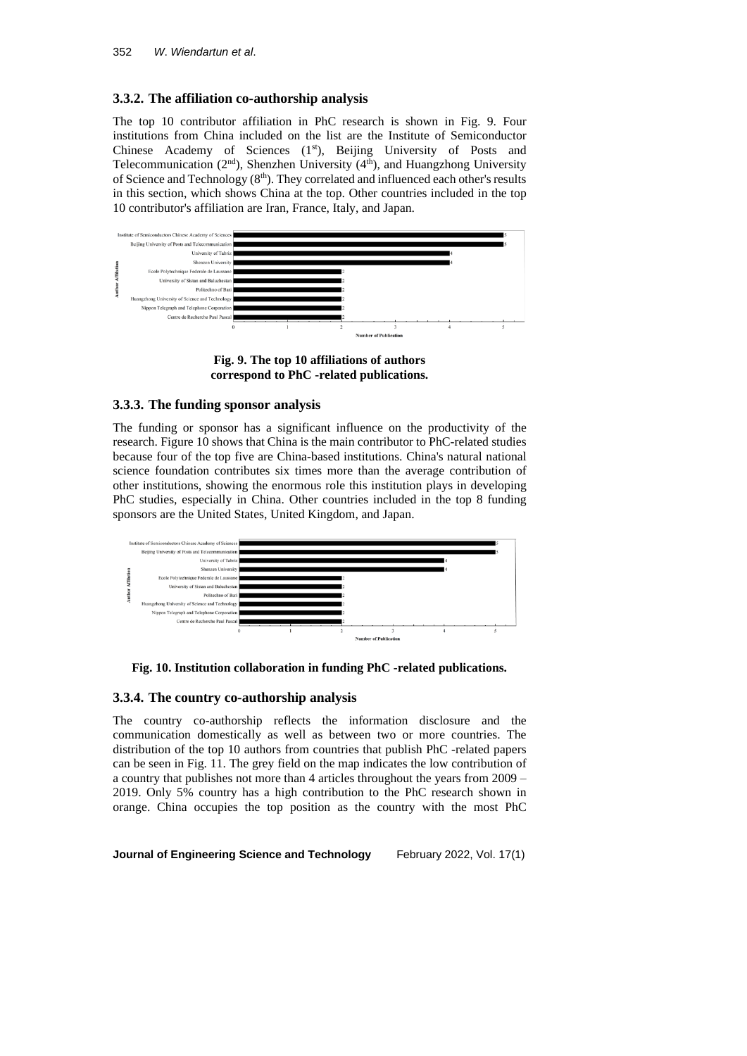# **3.3.2. The affiliation co-authorship analysis**

The top 10 contributor affiliation in PhC research is shown in Fig. 9. Four institutions from China included on the list are the Institute of Semiconductor Chinese Academy of Sciences (1st), Beijing University of Posts and Telecommunication ( $2<sup>nd</sup>$ ), Shenzhen University ( $4<sup>th</sup>$ ), and Huangzhong University of Science and Technology  $(8<sup>th</sup>)$ . They correlated and influenced each other's results in this section, which shows China at the top. Other countries included in the top 10 contributor's affiliation are Iran, France, Italy, and Japan.



**Fig. 9. The top 10 affiliations of authors correspond to PhC -related publications.**

# **3.3.3. The funding sponsor analysis**

The funding or sponsor has a significant influence on the productivity of the research. Figure 10 shows that China is the main contributor to PhC-related studies because four of the top five are China-based institutions. China's natural national science foundation contributes six times more than the average contribution of other institutions, showing the enormous role this institution plays in developing PhC studies, especially in China. Other countries included in the top 8 funding sponsors are the United States, United Kingdom, and Japan.



**Fig. 10. Institution collaboration in funding PhC -related publications.**

## **3.3.4. The country co-authorship analysis**

The country co-authorship reflects the information disclosure and the communication domestically as well as between two or more countries. The distribution of the top 10 authors from countries that publish PhC -related papers can be seen in Fig. 11. The grey field on the map indicates the low contribution of a country that publishes not more than 4 articles throughout the years from 2009 – 2019. Only 5% country has a high contribution to the PhC research shown in orange. China occupies the top position as the country with the most PhC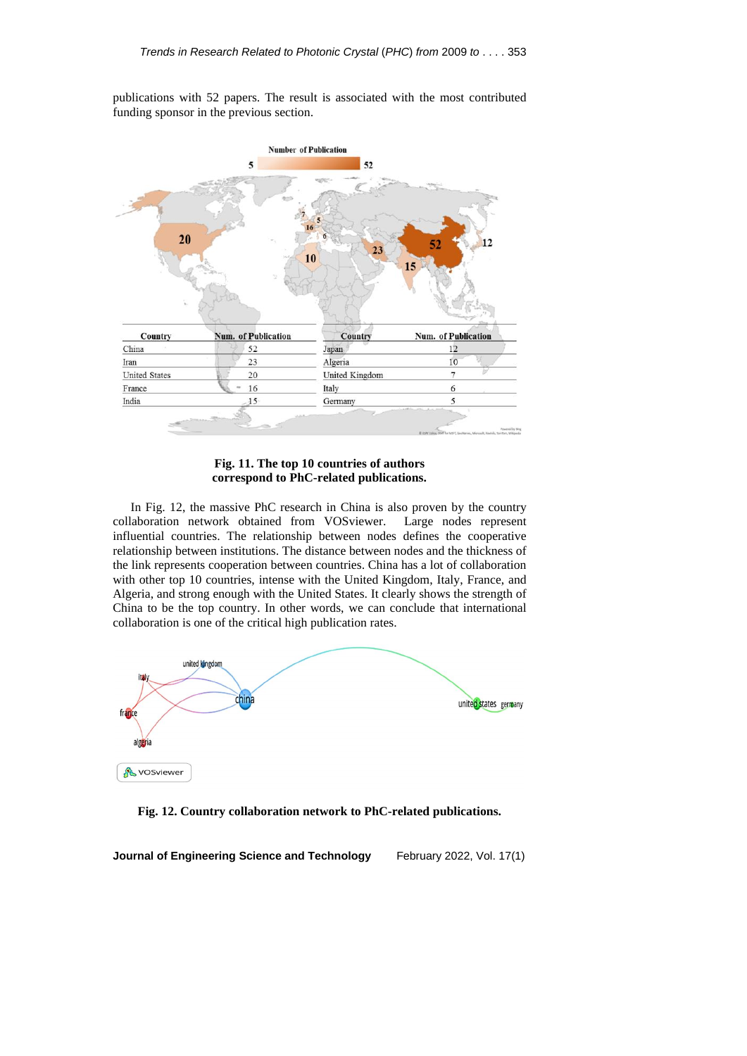publications with 52 papers. The result is associated with the most contributed funding sponsor in the previous section.



**Fig. 11. The top 10 countries of authors correspond to PhC-related publications.**

In Fig. 12, the massive PhC research in China is also proven by the country collaboration network obtained from VOSviewer. Large nodes represent influential countries. The relationship between nodes defines the cooperative relationship between institutions. The distance between nodes and the thickness of the link represents cooperation between countries. China has a lot of collaboration with other top 10 countries, intense with the United Kingdom, Italy, France, and Algeria, and strong enough with the United States. It clearly shows the strength of China to be the top country. In other words, we can conclude that international collaboration is one of the critical high publication rates.



**Fig. 12. Country collaboration network to PhC-related publications.**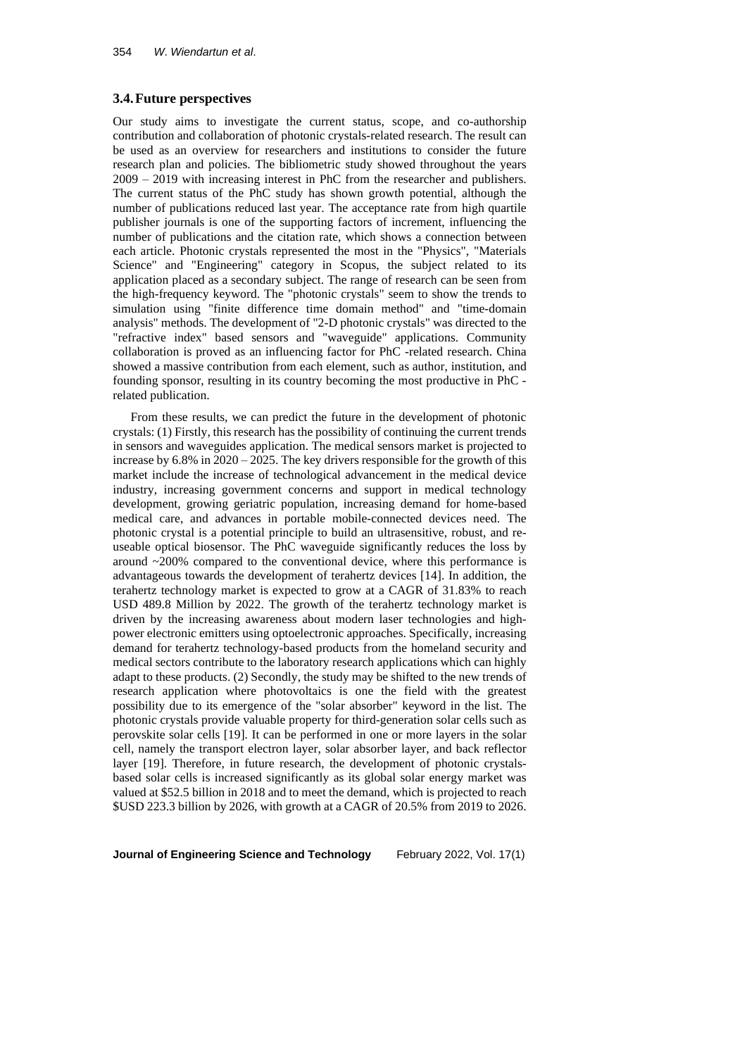## **3.4.Future perspectives**

Our study aims to investigate the current status, scope, and co-authorship contribution and collaboration of photonic crystals-related research. The result can be used as an overview for researchers and institutions to consider the future research plan and policies. The bibliometric study showed throughout the years 2009 – 2019 with increasing interest in PhC from the researcher and publishers. The current status of the PhC study has shown growth potential, although the number of publications reduced last year. The acceptance rate from high quartile publisher journals is one of the supporting factors of increment, influencing the number of publications and the citation rate, which shows a connection between each article. Photonic crystals represented the most in the "Physics", "Materials Science" and "Engineering" category in Scopus, the subject related to its application placed as a secondary subject. The range of research can be seen from the high-frequency keyword. The "photonic crystals" seem to show the trends to simulation using "finite difference time domain method" and "time-domain analysis" methods. The development of "2-D photonic crystals" was directed to the "refractive index" based sensors and "waveguide" applications. Community collaboration is proved as an influencing factor for PhC -related research. China showed a massive contribution from each element, such as author, institution, and founding sponsor, resulting in its country becoming the most productive in PhC related publication.

From these results, we can predict the future in the development of photonic crystals: (1) Firstly, this research has the possibility of continuing the current trends in sensors and waveguides application. The medical sensors market is projected to increase by 6.8% in 2020 – 2025. The key drivers responsible for the growth of this market include the increase of technological advancement in the medical device industry, increasing government concerns and support in medical technology development, growing geriatric population, increasing demand for home-based medical care, and advances in portable mobile-connected devices need. The photonic crystal is a potential principle to build an ultrasensitive, robust, and reuseable optical biosensor. The PhC waveguide significantly reduces the loss by around ~200% compared to the conventional device, where this performance is advantageous towards the development of terahertz devices [14]. In addition, the terahertz technology market is expected to grow at a CAGR of 31.83% to reach USD 489.8 Million by 2022. The growth of the terahertz technology market is driven by the increasing awareness about modern laser technologies and highpower electronic emitters using optoelectronic approaches. Specifically, increasing demand for terahertz technology-based products from the homeland security and medical sectors contribute to the laboratory research applications which can highly adapt to these products. (2) Secondly, the study may be shifted to the new trends of research application where photovoltaics is one the field with the greatest possibility due to its emergence of the "solar absorber" keyword in the list. The photonic crystals provide valuable property for third-generation solar cells such as perovskite solar cells [19]. It can be performed in one or more layers in the solar cell, namely the transport electron layer, solar absorber layer, and back reflector layer [19]. Therefore, in future research, the development of photonic crystalsbased solar cells is increased significantly as its global solar energy market was valued at \$52.5 billion in 2018 and to meet the demand, which is projected to reach \$USD 223.3 billion by 2026, with growth at a CAGR of 20.5% from 2019 to 2026.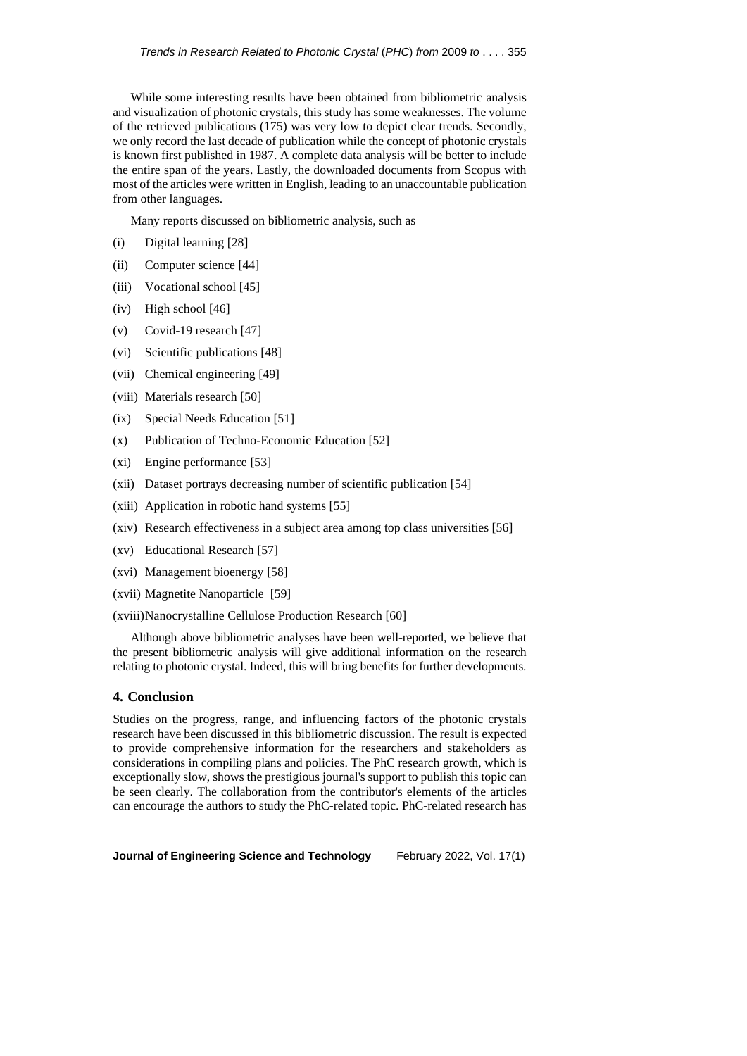While some interesting results have been obtained from bibliometric analysis and visualization of photonic crystals, this study has some weaknesses. The volume of the retrieved publications (175) was very low to depict clear trends. Secondly, we only record the last decade of publication while the concept of photonic crystals is known first published in 1987. A complete data analysis will be better to include the entire span of the years. Lastly, the downloaded documents from Scopus with most of the articles were written in English, leading to an unaccountable publication from other languages.

Many reports discussed on bibliometric analysis, such as

- (i) Digital learning [28]
- (ii) Computer science [44]
- (iii) Vocational school [45]
- (iv) High school [46]
- (v) Covid-19 research [47]
- (vi) Scientific publications [48]
- (vii) Chemical engineering [49]
- (viii) Materials research [50]
- (ix) Special Needs Education [51]
- (x) Publication of Techno-Economic Education [52]
- (xi) Engine performance [53]
- (xii) Dataset portrays decreasing number of scientific publication [54]
- (xiii) Application in robotic hand systems [55]
- (xiv) Research effectiveness in a subject area among top class universities [56]
- (xv) Educational Research [57]
- (xvi) Management bioenergy [58]
- (xvii) Magnetite Nanoparticle [59]
- (xviii)Nanocrystalline Cellulose Production Research [60]

Although above bibliometric analyses have been well-reported, we believe that the present bibliometric analysis will give additional information on the research relating to photonic crystal. Indeed, this will bring benefits for further developments.

#### **4. Conclusion**

Studies on the progress, range, and influencing factors of the photonic crystals research have been discussed in this bibliometric discussion. The result is expected to provide comprehensive information for the researchers and stakeholders as considerations in compiling plans and policies. The PhC research growth, which is exceptionally slow, shows the prestigious journal's support to publish this topic can be seen clearly. The collaboration from the contributor's elements of the articles can encourage the authors to study the PhC-related topic. PhC-related research has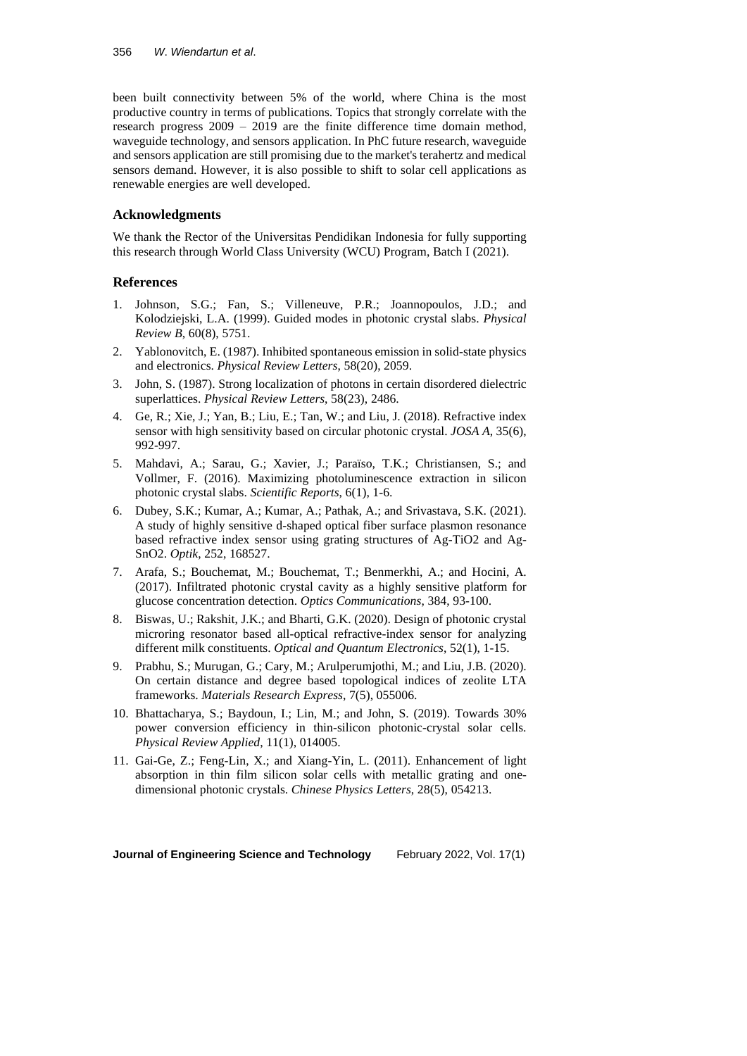been built connectivity between 5% of the world, where China is the most productive country in terms of publications. Topics that strongly correlate with the research progress 2009 – 2019 are the finite difference time domain method, waveguide technology, and sensors application. In PhC future research, waveguide and sensors application are still promising due to the market's terahertz and medical sensors demand. However, it is also possible to shift to solar cell applications as renewable energies are well developed.

## **Acknowledgments**

We thank the Rector of the Universitas Pendidikan Indonesia for fully supporting this research through World Class University (WCU) Program, Batch I (2021).

## **References**

- 1. Johnson, S.G.; Fan, S.; Villeneuve, P.R.; Joannopoulos, J.D.; and Kolodziejski, L.A. (1999). Guided modes in photonic crystal slabs. *Physical Review B*, 60(8), 5751.
- 2. Yablonovitch, E. (1987). Inhibited spontaneous emission in solid-state physics and electronics. *Physical Review Letters*, 58(20), 2059.
- 3. John, S. (1987). Strong localization of photons in certain disordered dielectric superlattices. *Physical Review Letters*, 58(23), 2486.
- 4. Ge, R.; Xie, J.; Yan, B.; Liu, E.; Tan, W.; and Liu, J. (2018). Refractive index sensor with high sensitivity based on circular photonic crystal. *JOSA A*, 35(6), 992-997.
- 5. Mahdavi, A.; Sarau, G.; Xavier, J.; Paraïso, T.K.; Christiansen, S.; and Vollmer, F. (2016). Maximizing photoluminescence extraction in silicon photonic crystal slabs. *Scientific Reports*, 6(1), 1-6.
- 6. Dubey, S.K.; Kumar, A.; Kumar, A.; Pathak, A.; and Srivastava, S.K. (2021). A study of highly sensitive d-shaped optical fiber surface plasmon resonance based refractive index sensor using grating structures of Ag-TiO2 and Ag-SnO2. *Optik*, 252, 168527.
- 7. Arafa, S.; Bouchemat, M.; Bouchemat, T.; Benmerkhi, A.; and Hocini, A. (2017). Infiltrated photonic crystal cavity as a highly sensitive platform for glucose concentration detection. *Optics Communications*, 384, 93-100.
- 8. Biswas, U.; Rakshit, J.K.; and Bharti, G.K. (2020). Design of photonic crystal microring resonator based all-optical refractive-index sensor for analyzing different milk constituents. *Optical and Quantum Electronics*, 52(1), 1-15.
- 9. Prabhu, S.; Murugan, G.; Cary, M.; Arulperumjothi, M.; and Liu, J.B. (2020). On certain distance and degree based topological indices of zeolite LTA frameworks. *Materials Research Express*, 7(5), 055006.
- 10. Bhattacharya, S.; Baydoun, I.; Lin, M.; and John, S. (2019). Towards 30% power conversion efficiency in thin-silicon photonic-crystal solar cells. *Physical Review Applied*, 11(1), 014005.
- 11. Gai-Ge, Z.; Feng-Lin, X.; and Xiang-Yin, L. (2011). Enhancement of light absorption in thin film silicon solar cells with metallic grating and onedimensional photonic crystals. *Chinese Physics Letters*, 28(5), 054213.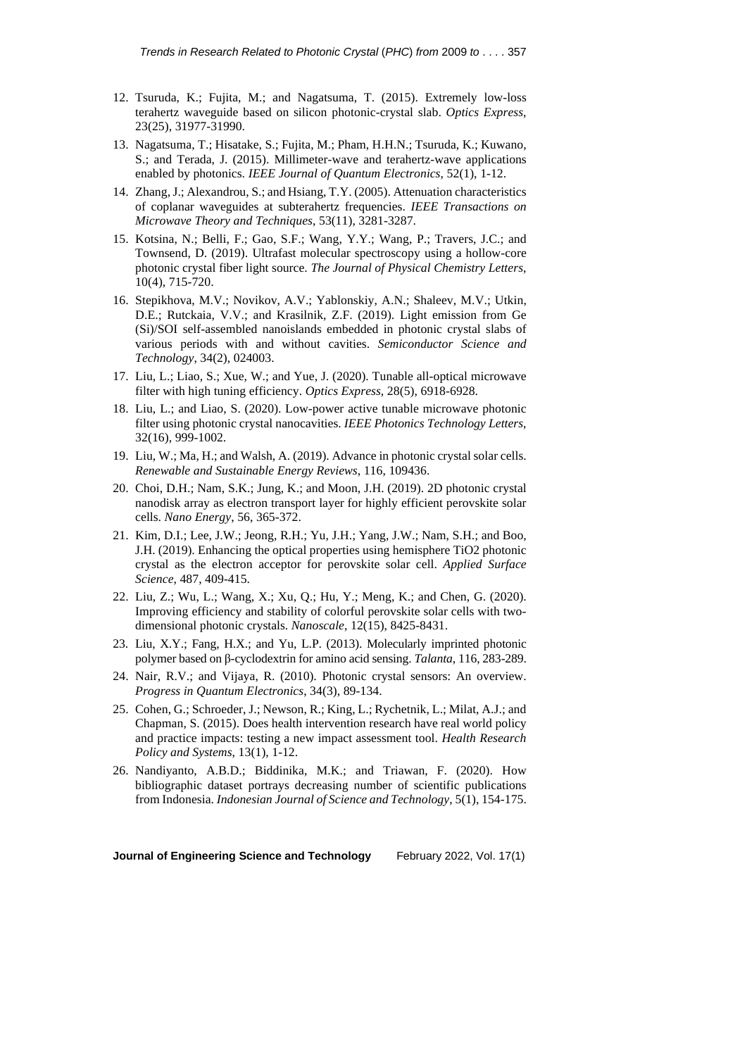- 12. Tsuruda, K.; Fujita, M.; and Nagatsuma, T. (2015). Extremely low-loss terahertz waveguide based on silicon photonic-crystal slab. *Optics Express*, 23(25), 31977-31990.
- 13. Nagatsuma, T.; Hisatake, S.; Fujita, M.; Pham, H.H.N.; Tsuruda, K.; Kuwano, S.; and Terada, J. (2015). Millimeter-wave and terahertz-wave applications enabled by photonics. *IEEE Journal of Quantum Electronics*, 52(1), 1-12.
- 14. Zhang,J.; Alexandrou, S.; and Hsiang, T.Y. (2005). Attenuation characteristics of coplanar waveguides at subterahertz frequencies. *IEEE Transactions on Microwave Theory and Techniques*, 53(11), 3281-3287.
- 15. Kotsina, N.; Belli, F.; Gao, S.F.; Wang, Y.Y.; Wang, P.; Travers, J.C.; and Townsend, D. (2019). Ultrafast molecular spectroscopy using a hollow-core photonic crystal fiber light source. *The Journal of Physical Chemistry Letters*, 10(4), 715-720.
- 16. Stepikhova, M.V.; Novikov, A.V.; Yablonskiy, A.N.; Shaleev, M.V.; Utkin, D.E.; Rutckaia, V.V.; and Krasilnik, Z.F. (2019). Light emission from Ge (Si)/SOI self-assembled nanoislands embedded in photonic crystal slabs of various periods with and without cavities. *Semiconductor Science and Technology*, 34(2), 024003.
- 17. Liu, L.; Liao, S.; Xue, W.; and Yue, J. (2020). Tunable all-optical microwave filter with high tuning efficiency. *Optics Express*, 28(5), 6918-6928.
- 18. Liu, L.; and Liao, S. (2020). Low-power active tunable microwave photonic filter using photonic crystal nanocavities. *IEEE Photonics Technology Letters*, 32(16), 999-1002.
- 19. Liu, W.; Ma, H.; and Walsh, A. (2019). Advance in photonic crystal solar cells. *Renewable and Sustainable Energy Reviews*, 116, 109436.
- 20. Choi, D.H.; Nam, S.K.; Jung, K.; and Moon, J.H. (2019). 2D photonic crystal nanodisk array as electron transport layer for highly efficient perovskite solar cells. *Nano Energy*, 56, 365-372.
- 21. Kim, D.I.; Lee, J.W.; Jeong, R.H.; Yu, J.H.; Yang, J.W.; Nam, S.H.; and Boo, J.H. (2019). Enhancing the optical properties using hemisphere TiO2 photonic crystal as the electron acceptor for perovskite solar cell. *Applied Surface Science*, 487, 409-415.
- 22. Liu, Z.; Wu, L.; Wang, X.; Xu, Q.; Hu, Y.; Meng, K.; and Chen, G. (2020). Improving efficiency and stability of colorful perovskite solar cells with twodimensional photonic crystals. *Nanoscale*, 12(15), 8425-8431.
- 23. Liu, X.Y.; Fang, H.X.; and Yu, L.P. (2013). Molecularly imprinted photonic polymer based on β-cyclodextrin for amino acid sensing. *Talanta*, 116, 283-289.
- 24. Nair, R.V.; and Vijaya, R. (2010). Photonic crystal sensors: An overview. *Progress in Quantum Electronics*, 34(3), 89-134.
- 25. Cohen, G.; Schroeder, J.; Newson, R.; King, L.; Rychetnik, L.; Milat, A.J.; and Chapman, S. (2015). Does health intervention research have real world policy and practice impacts: testing a new impact assessment tool. *Health Research Policy and Systems*, 13(1), 1-12.
- 26. Nandiyanto, A.B.D.; Biddinika, M.K.; and Triawan, F. (2020). How bibliographic dataset portrays decreasing number of scientific publications from Indonesia. *Indonesian Journal of Science and Technology*, 5(1), 154-175.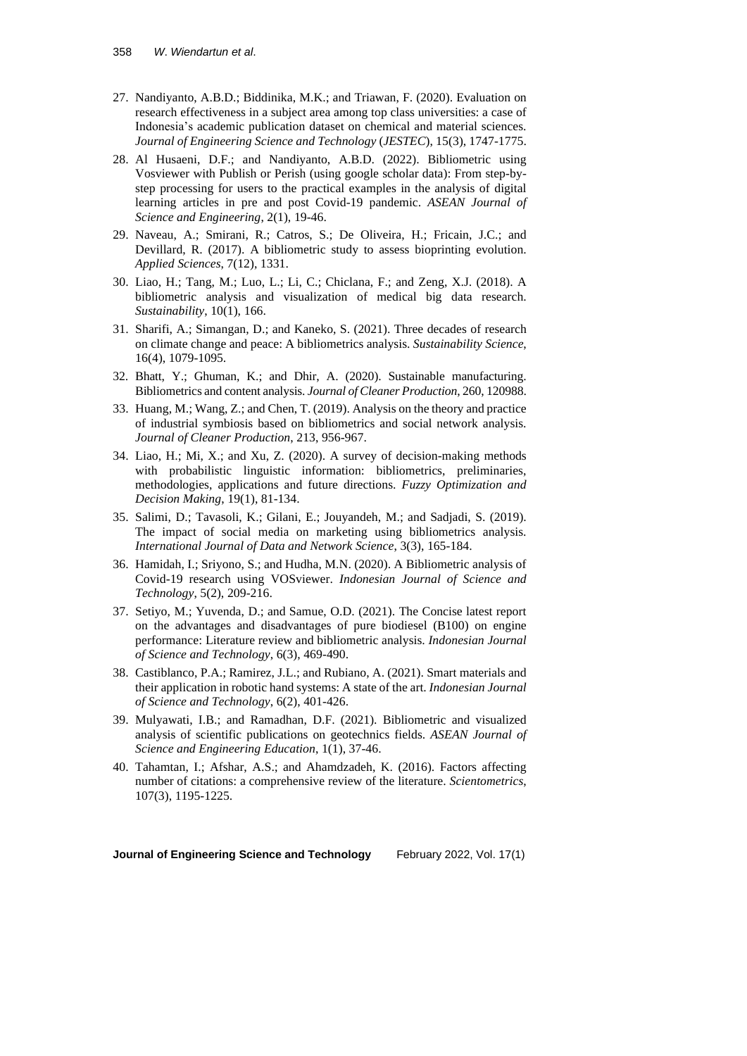- 27. Nandiyanto, A.B.D.; Biddinika, M.K.; and Triawan, F. (2020). Evaluation on research effectiveness in a subject area among top class universities: a case of Indonesia's academic publication dataset on chemical and material sciences. *Journal of Engineering Science and Technology* (*JESTEC*), 15(3), 1747-1775.
- 28. Al Husaeni, D.F.; and Nandiyanto, A.B.D. (2022). Bibliometric using Vosviewer with Publish or Perish (using google scholar data): From step-bystep processing for users to the practical examples in the analysis of digital learning articles in pre and post Covid-19 pandemic. *ASEAN Journal of Science and Engineering*, 2(1), 19-46.
- 29. Naveau, A.; Smirani, R.; Catros, S.; De Oliveira, H.; Fricain, J.C.; and Devillard, R. (2017). A bibliometric study to assess bioprinting evolution. *Applied Sciences*, 7(12), 1331.
- 30. Liao, H.; Tang, M.; Luo, L.; Li, C.; Chiclana, F.; and Zeng, X.J. (2018). A bibliometric analysis and visualization of medical big data research. *Sustainability*, 10(1), 166.
- 31. Sharifi, A.; Simangan, D.; and Kaneko, S. (2021). Three decades of research on climate change and peace: A bibliometrics analysis. *Sustainability Science*, 16(4), 1079-1095.
- 32. Bhatt, Y.; Ghuman, K.; and Dhir, A. (2020). Sustainable manufacturing. Bibliometrics and content analysis. *Journal of Cleaner Production*, 260, 120988.
- 33. Huang, M.; Wang, Z.; and Chen, T. (2019). Analysis on the theory and practice of industrial symbiosis based on bibliometrics and social network analysis. *Journal of Cleaner Production*, 213, 956-967.
- 34. Liao, H.; Mi, X.; and Xu, Z. (2020). A survey of decision-making methods with probabilistic linguistic information: bibliometrics, preliminaries, methodologies, applications and future directions. *Fuzzy Optimization and Decision Making*, 19(1), 81-134.
- 35. Salimi, D.; Tavasoli, K.; Gilani, E.; Jouyandeh, M.; and Sadjadi, S. (2019). The impact of social media on marketing using bibliometrics analysis. *International Journal of Data and Network Science*, 3(3), 165-184.
- 36. Hamidah, I.; Sriyono, S.; and Hudha, M.N. (2020). A Bibliometric analysis of Covid-19 research using VOSviewer. *Indonesian Journal of Science and Technology*, 5(2), 209-216.
- 37. Setiyo, M.; Yuvenda, D.; and Samue, O.D. (2021). The Concise latest report on the advantages and disadvantages of pure biodiesel (B100) on engine performance: Literature review and bibliometric analysis. *Indonesian Journal of Science and Technology*, 6(3), 469-490.
- 38. Castiblanco, P.A.; Ramirez, J.L.; and Rubiano, A. (2021). Smart materials and their application in robotic hand systems: A state of the art. *Indonesian Journal of Science and Technology*, 6(2), 401-426.
- 39. Mulyawati, I.B.; and Ramadhan, D.F. (2021). Bibliometric and visualized analysis of scientific publications on geotechnics fields. *ASEAN Journal of Science and Engineering Education*, 1(1), 37-46.
- 40. Tahamtan, I.; Afshar, A.S.; and Ahamdzadeh, K. (2016). Factors affecting number of citations: a comprehensive review of the literature. *Scientometrics*, 107(3), 1195-1225.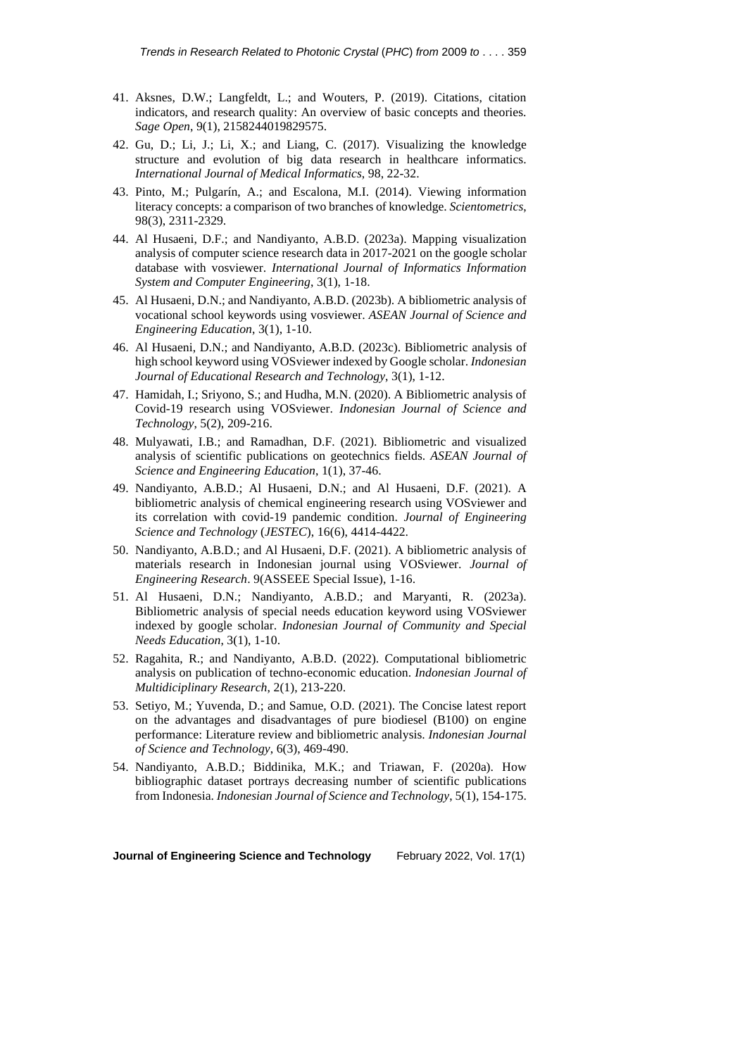- 41. Aksnes, D.W.; Langfeldt, L.; and Wouters, P. (2019). Citations, citation indicators, and research quality: An overview of basic concepts and theories. *Sage Open*, 9(1), 2158244019829575.
- 42. Gu, D.; Li, J.; Li, X.; and Liang, C. (2017). Visualizing the knowledge structure and evolution of big data research in healthcare informatics. *International Journal of Medical Informatics*, 98, 22-32.
- 43. Pinto, M.; Pulgarín, A.; and Escalona, M.I. (2014). Viewing information literacy concepts: a comparison of two branches of knowledge. *Scientometrics*, 98(3), 2311-2329.
- 44. Al Husaeni, D.F.; and Nandiyanto, A.B.D. (2023a). Mapping visualization analysis of computer science research data in 2017-2021 on the google scholar database with vosviewer. *International Journal of Informatics Information System and Computer Engineering*, 3(1), 1-18.
- 45. Al Husaeni, D.N.; and Nandiyanto, A.B.D. (2023b). A bibliometric analysis of vocational school keywords using vosviewer. *ASEAN Journal of Science and Engineering Education*, 3(1), 1-10.
- 46. Al Husaeni, D.N.; and Nandiyanto, A.B.D. (2023c). Bibliometric analysis of high school keyword using VOSviewer indexed by Google scholar. *Indonesian Journal of Educational Research and Technology*, 3(1), 1-12.
- 47. Hamidah, I.; Sriyono, S.; and Hudha, M.N. (2020). A Bibliometric analysis of Covid-19 research using VOSviewer. *Indonesian Journal of Science and Technology*, 5(2), 209-216.
- 48. Mulyawati, I.B.; and Ramadhan, D.F. (2021). Bibliometric and visualized analysis of scientific publications on geotechnics fields. *ASEAN Journal of Science and Engineering Education*, 1(1), 37-46.
- 49. Nandiyanto, A.B.D.; Al Husaeni, D.N.; and Al Husaeni, D.F. (2021). A bibliometric analysis of chemical engineering research using VOSviewer and its correlation with covid-19 pandemic condition. *Journal of Engineering Science and Technology* (*JESTEC*), 16(6), 4414-4422.
- 50. Nandiyanto, A.B.D.; and Al Husaeni, D.F. (2021). A bibliometric analysis of materials research in Indonesian journal using VOSviewer. *Journal of Engineering Research*. 9(ASSEEE Special Issue), 1-16.
- 51. Al Husaeni, D.N.; Nandiyanto, A.B.D.; and Maryanti, R. (2023a). Bibliometric analysis of special needs education keyword using VOSviewer indexed by google scholar. *Indonesian Journal of Community and Special Needs Education*, 3(1), 1-10.
- 52. Ragahita, R.; and Nandiyanto, A.B.D. (2022). Computational bibliometric analysis on publication of techno-economic education. *Indonesian Journal of Multidiciplinary Research*, 2(1), 213-220.
- 53. Setiyo, M.; Yuvenda, D.; and Samue, O.D. (2021). The Concise latest report on the advantages and disadvantages of pure biodiesel (B100) on engine performance: Literature review and bibliometric analysis. *Indonesian Journal of Science and Technology*, 6(3), 469-490.
- 54. Nandiyanto, A.B.D.; Biddinika, M.K.; and Triawan, F. (2020a). How bibliographic dataset portrays decreasing number of scientific publications from Indonesia. *Indonesian Journal of Science and Technology*, 5(1), 154-175.